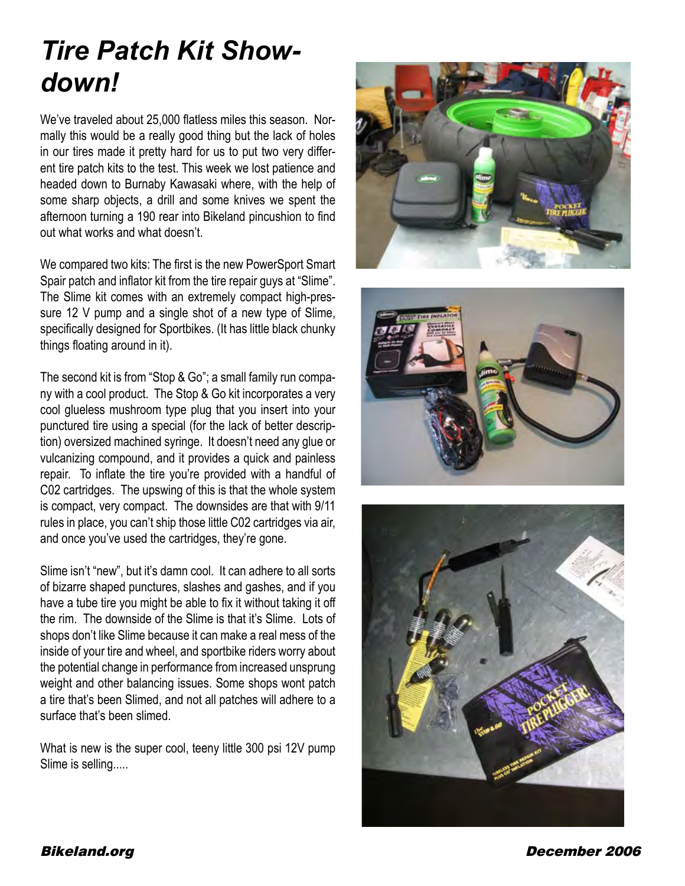## *Tire Patch Kit Showdown!*

We've traveled about 25,000 flatless miles this season. Normally this would be a really good thing but the lack of holes in our tires made it pretty hard for us to put two very different tire patch kits to the test. This week we lost patience and headed down to Burnaby Kawasaki where, with the help of some sharp objects, a drill and some knives we spent the afternoon turning a 190 rear into Bikeland pincushion to find out what works and what doesn't.

We compared two kits: The first is the new PowerSport Smart Spair patch and inflator kit from the tire repair guys at "Slime". The Slime kit comes with an extremely compact high-pressure 12 V pump and a single shot of a new type of Slime, specifically designed for Sportbikes. (It has little black chunky things floating around in it).

The second kit is from "Stop & Go"; a small family run company with a cool product. The Stop & Go kit incorporates a very cool glueless mushroom type plug that you insert into your punctured tire using a special (for the lack of better description) oversized machined syringe. It doesn't need any glue or vulcanizing compound, and it provides a quick and painless repair. To inflate the tire you're provided with a handful of C02 cartridges. The upswing of this is that the whole system is compact, very compact. The downsides are that with 9/11 rules in place, you can't ship those little C02 cartridges via air, and once you've used the cartridges, they're gone.

Slime isn't "new", but it's damn cool. It can adhere to all sorts of bizarre shaped punctures, slashes and gashes, and if you have a tube tire you might be able to fix it without taking it off the rim. The downside of the Slime is that it's Slime. Lots of shops don't like Slime because it can make a real mess of the inside of your tire and wheel, and sportbike riders worry about the potential change in performance from increased unsprung weight and other balancing issues. Some shops wont patch a tire that's been Slimed, and not all patches will adhere to a surface that's been slimed.

What is new is the super cool, teeny little 300 psi 12V pump Slime is selling.....







Bikeland.org December 2006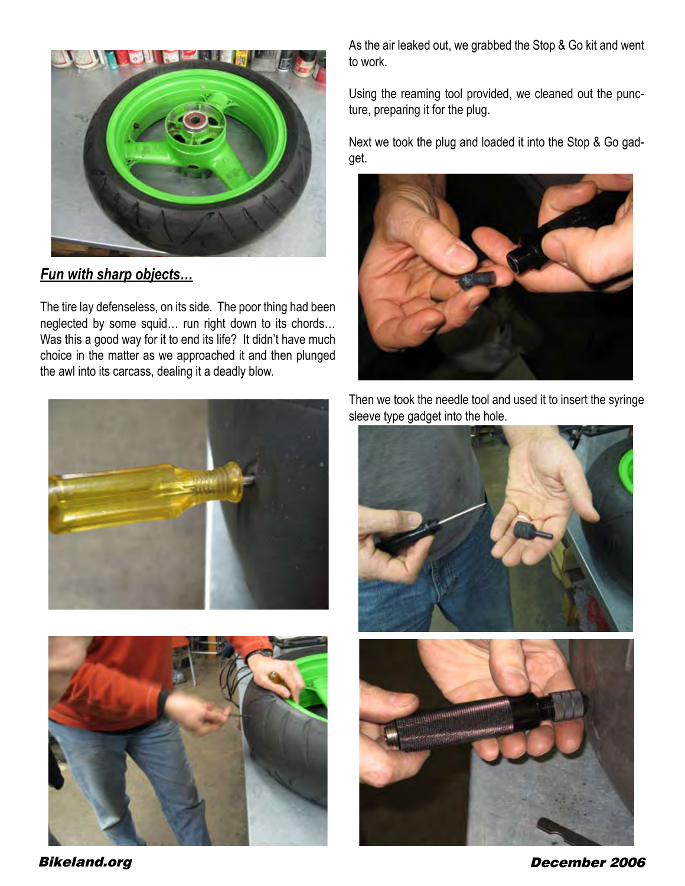

*Fun with sharp objects…*

The tire lay defenseless, on its side. The poor thing had been neglected by some squid… run right down to its chords… Was this a good way for it to end its life? It didn't have much choice in the matter as we approached it and then plunged the awl into its carcass, dealing it a deadly blow.





As the air leaked out, we grabbed the Stop & Go kit and went to work.

Using the reaming tool provided, we cleaned out the puncture, preparing it for the plug.

Next we took the plug and loaded it into the Stop & Go gadget.



Then we took the needle tool and used it to insert the syringe sleeve type gadget into the hole.



Bikeland.org December 2006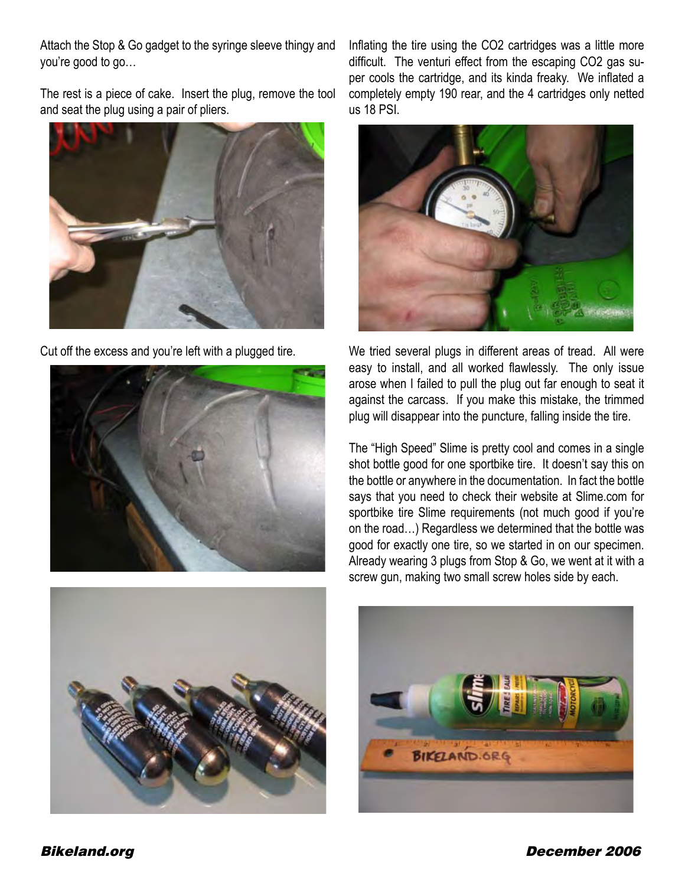Attach the Stop & Go gadget to the syringe sleeve thingy and you're good to go…

The rest is a piece of cake. Insert the plug, remove the tool and seat the plug using a pair of pliers.



Cut off the excess and you're left with a plugged tire.





Inflating the tire using the CO2 cartridges was a little more difficult. The venturi effect from the escaping CO2 gas super cools the cartridge, and its kinda freaky. We inflated a completely empty 190 rear, and the 4 cartridges only netted us 18 PSI.



We tried several plugs in different areas of tread. All were easy to install, and all worked flawlessly. The only issue arose when I failed to pull the plug out far enough to seat it against the carcass. If you make this mistake, the trimmed plug will disappear into the puncture, falling inside the tire.

The "High Speed" Slime is pretty cool and comes in a single shot bottle good for one sportbike tire. It doesn't say this on the bottle or anywhere in the documentation. In fact the bottle says that you need to check their website at Slime.com for sportbike tire Slime requirements (not much good if you're on the road…) Regardless we determined that the bottle was good for exactly one tire, so we started in on our specimen. Already wearing 3 plugs from Stop & Go, we went at it with a screw gun, making two small screw holes side by each.



Bikeland.org December 2006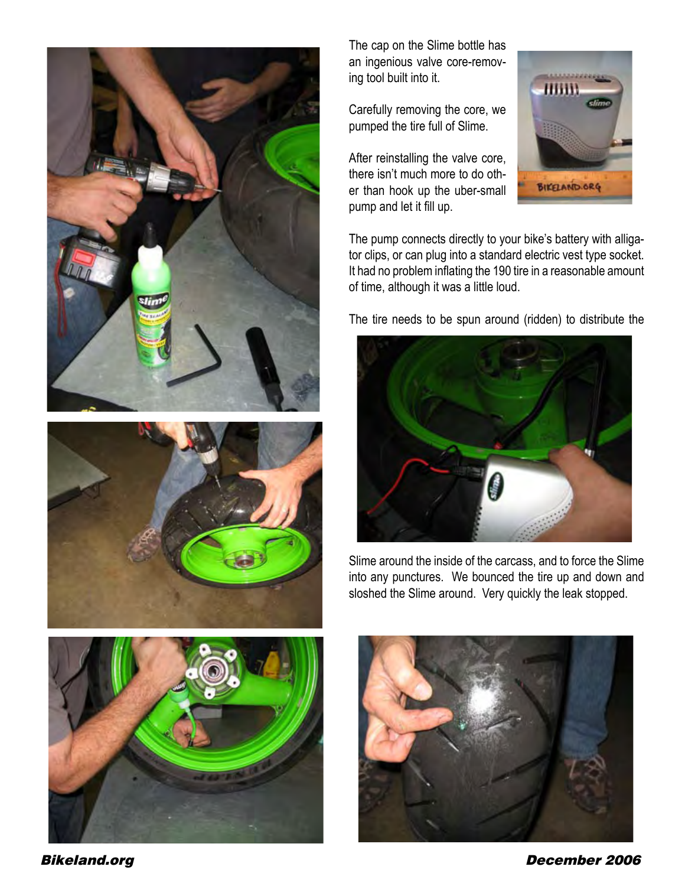





The cap on the Slime bottle has an ingenious valve core-removing tool built into it.

Carefully removing the core, we pumped the tire full of Slime.

After reinstalling the valve core, there isn't much more to do other than hook up the uber-small pump and let it fill up.



The pump connects directly to your bike's battery with alligator clips, or can plug into a standard electric vest type socket. It had no problem inflating the 190 tire in a reasonable amount of time, although it was a little loud.

The tire needs to be spun around (ridden) to distribute the



Slime around the inside of the carcass, and to force the Slime into any punctures. We bounced the tire up and down and sloshed the Slime around. Very quickly the leak stopped.



Bikeland.org December 2006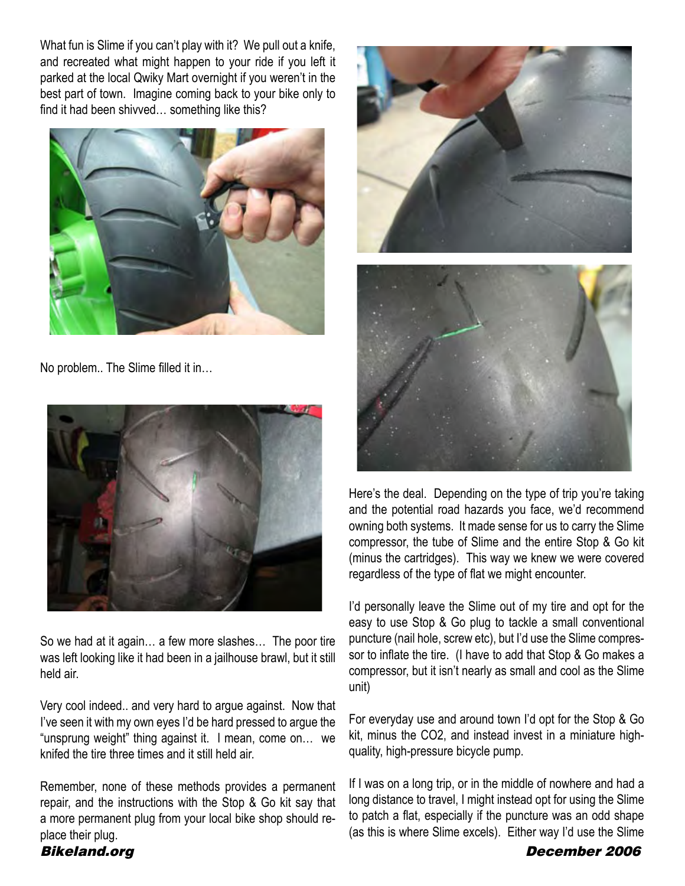What fun is Slime if you can't play with it? We pull out a knife, and recreated what might happen to your ride if you left it parked at the local Qwiky Mart overnight if you weren't in the best part of town. Imagine coming back to your bike only to find it had been shivved… something like this?



No problem.. The Slime filled it in…



So we had at it again… a few more slashes… The poor tire was left looking like it had been in a jailhouse brawl, but it still held air.

Very cool indeed.. and very hard to argue against. Now that I've seen it with my own eyes I'd be hard pressed to argue the "unsprung weight" thing against it. I mean, come on… we knifed the tire three times and it still held air.

Remember, none of these methods provides a permanent repair, and the instructions with the Stop & Go kit say that a more permanent plug from your local bike shop should replace their plug.





Here's the deal. Depending on the type of trip you're taking and the potential road hazards you face, we'd recommend owning both systems. It made sense for us to carry the Slime compressor, the tube of Slime and the entire Stop & Go kit (minus the cartridges). This way we knew we were covered regardless of the type of flat we might encounter.

I'd personally leave the Slime out of my tire and opt for the easy to use Stop & Go plug to tackle a small conventional puncture (nail hole, screw etc), but I'd use the Slime compressor to inflate the tire. (I have to add that Stop & Go makes a compressor, but it isn't nearly as small and cool as the Slime unit)

For everyday use and around town I'd opt for the Stop & Go kit, minus the CO2, and instead invest in a miniature highquality, high-pressure bicycle pump.

If I was on a long trip, or in the middle of nowhere and had a long distance to travel, I might instead opt for using the Slime to patch a flat, especially if the puncture was an odd shape (as this is where Slime excels). Either way I'd use the Slime